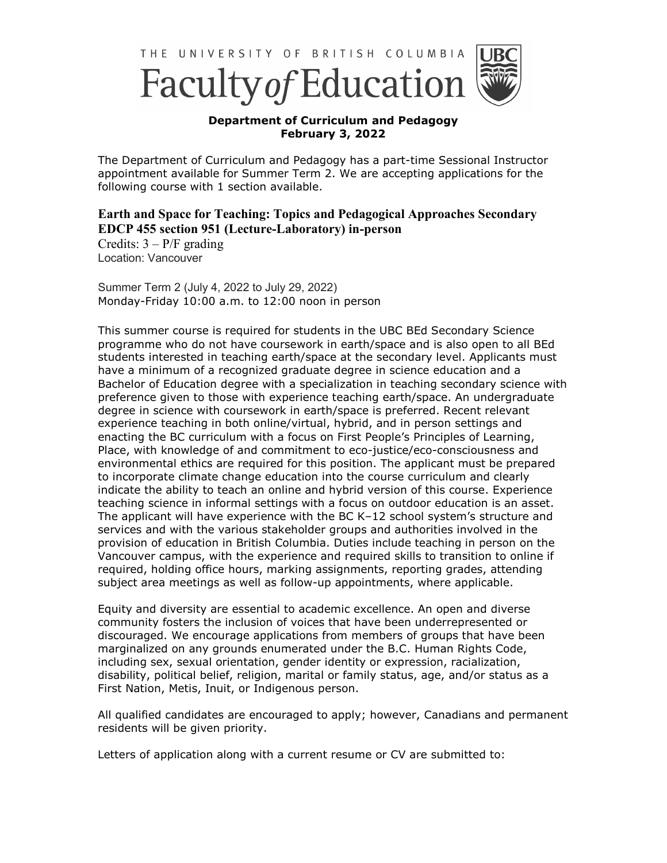

## **Department of Curriculum and Pedagogy February 3, 2022**

The Department of Curriculum and Pedagogy has a part-time Sessional Instructor appointment available for Summer Term 2. We are accepting applications for the following course with 1 section available.

## **Earth and Space for Teaching: Topics and Pedagogical Approaches Secondary EDCP 455 section 951 (Lecture-Laboratory) in-person**

Credits:  $3 - P/F$  grading Location: Vancouver

Summer Term 2 (July 4, 2022 to July 29, 2022) Monday-Friday 10:00 a.m. to 12:00 noon in person

This summer course is required for students in the UBC BEd Secondary Science programme who do not have coursework in earth/space and is also open to all BEd students interested in teaching earth/space at the secondary level. Applicants must have a minimum of a recognized graduate degree in science education and a Bachelor of Education degree with a specialization in teaching secondary science with preference given to those with experience teaching earth/space. An undergraduate degree in science with coursework in earth/space is preferred. Recent relevant experience teaching in both online/virtual, hybrid, and in person settings and enacting the BC curriculum with a focus on First People's Principles of Learning, Place, with knowledge of and commitment to eco-justice/eco-consciousness and environmental ethics are required for this position. The applicant must be prepared to incorporate climate change education into the course curriculum and clearly indicate the ability to teach an online and hybrid version of this course. Experience teaching science in informal settings with a focus on outdoor education is an asset. The applicant will have experience with the BC K–12 school system's structure and services and with the various stakeholder groups and authorities involved in the provision of education in British Columbia. Duties include teaching in person on the Vancouver campus, with the experience and required skills to transition to online if required, holding office hours, marking assignments, reporting grades, attending subject area meetings as well as follow-up appointments, where applicable.

Equity and diversity are essential to academic excellence. An open and diverse community fosters the inclusion of voices that have been underrepresented or discouraged. We encourage applications from members of groups that have been marginalized on any grounds enumerated under the B.C. Human Rights Code, including sex, sexual orientation, gender identity or expression, racialization, disability, political belief, religion, marital or family status, age, and/or status as a First Nation, Metis, Inuit, or Indigenous person.

All qualified candidates are encouraged to apply; however, Canadians and permanent residents will be given priority.

Letters of application along with a current resume or CV are submitted to: